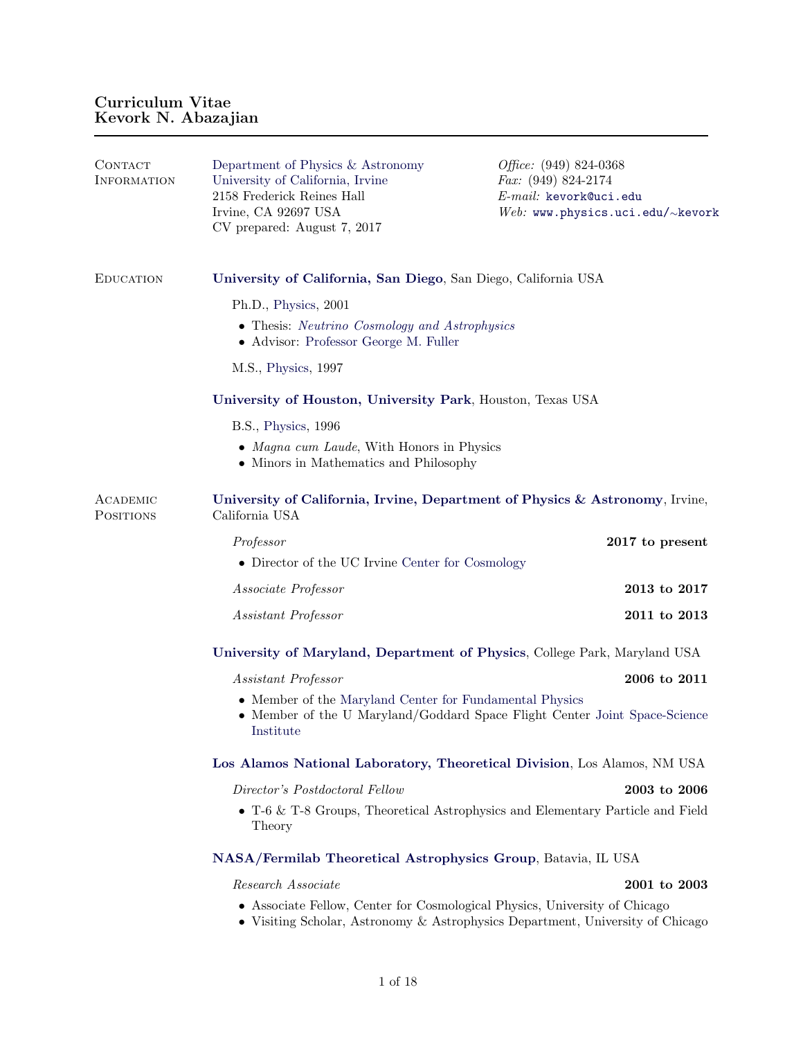| CONTACT<br><b>INFORMATION</b> | Department of Physics & Astronomy<br>University of California, Irvine<br>2158 Frederick Reines Hall<br>Irvine, CA 92697 USA<br>CV prepared: August 7, 2017   | <i>Office:</i> $(949) 824-0368$<br><i>Fax:</i> $(949) 824-2174$<br>$E$ -mail: kevork@uci.edu<br>Web: www.physics.uci.edu/ $\sim$ kevork |  |
|-------------------------------|--------------------------------------------------------------------------------------------------------------------------------------------------------------|-----------------------------------------------------------------------------------------------------------------------------------------|--|
| <b>EDUCATION</b>              | University of California, San Diego, San Diego, California USA                                                                                               |                                                                                                                                         |  |
|                               | Ph.D., Physics, 2001                                                                                                                                         |                                                                                                                                         |  |
|                               | • Thesis: Neutrino Cosmology and Astrophysics<br>• Advisor: Professor George M. Fuller                                                                       |                                                                                                                                         |  |
|                               | M.S., Physics, 1997                                                                                                                                          |                                                                                                                                         |  |
|                               | University of Houston, University Park, Houston, Texas USA                                                                                                   |                                                                                                                                         |  |
|                               | B.S., Physics, 1996                                                                                                                                          |                                                                                                                                         |  |
|                               | • Magna cum Laude, With Honors in Physics<br>• Minors in Mathematics and Philosophy                                                                          |                                                                                                                                         |  |
| ACADEMIC<br><b>POSITIONS</b>  | University of California, Irvine, Department of Physics & Astronomy, Irvine,<br>California USA                                                               |                                                                                                                                         |  |
|                               | Professor                                                                                                                                                    | 2017 to present                                                                                                                         |  |
|                               | • Director of the UC Irvine Center for Cosmology                                                                                                             |                                                                                                                                         |  |
|                               | Associate Professor                                                                                                                                          | 2013 to 2017                                                                                                                            |  |
|                               | Assistant Professor                                                                                                                                          | 2011 to 2013                                                                                                                            |  |
|                               | University of Maryland, Department of Physics, College Park, Maryland USA                                                                                    |                                                                                                                                         |  |
|                               | Assistant Professor                                                                                                                                          | 2006 to 2011                                                                                                                            |  |
|                               | • Member of the Maryland Center for Fundamental Physics<br>• Member of the U Maryland/Goddard Space Flight Center Joint Space-Science<br>Institute           |                                                                                                                                         |  |
|                               | Los Alamos National Laboratory, Theoretical Division, Los Alamos, NM USA                                                                                     |                                                                                                                                         |  |
|                               | Director's Postdoctoral Fellow                                                                                                                               | 2003 to 2006                                                                                                                            |  |
|                               | • $T-6$ & T-8 Groups, Theoretical Astrophysics and Elementary Particle and Field<br>Theory                                                                   |                                                                                                                                         |  |
|                               | NASA/Fermilab Theoretical Astrophysics Group, Batavia, IL USA                                                                                                |                                                                                                                                         |  |
|                               | Research Associate                                                                                                                                           | 2001 to 2003                                                                                                                            |  |
|                               | • Associate Fellow, Center for Cosmological Physics, University of Chicago<br>• Visiting Scholar, Astronomy & Astrophysics Department, University of Chicago |                                                                                                                                         |  |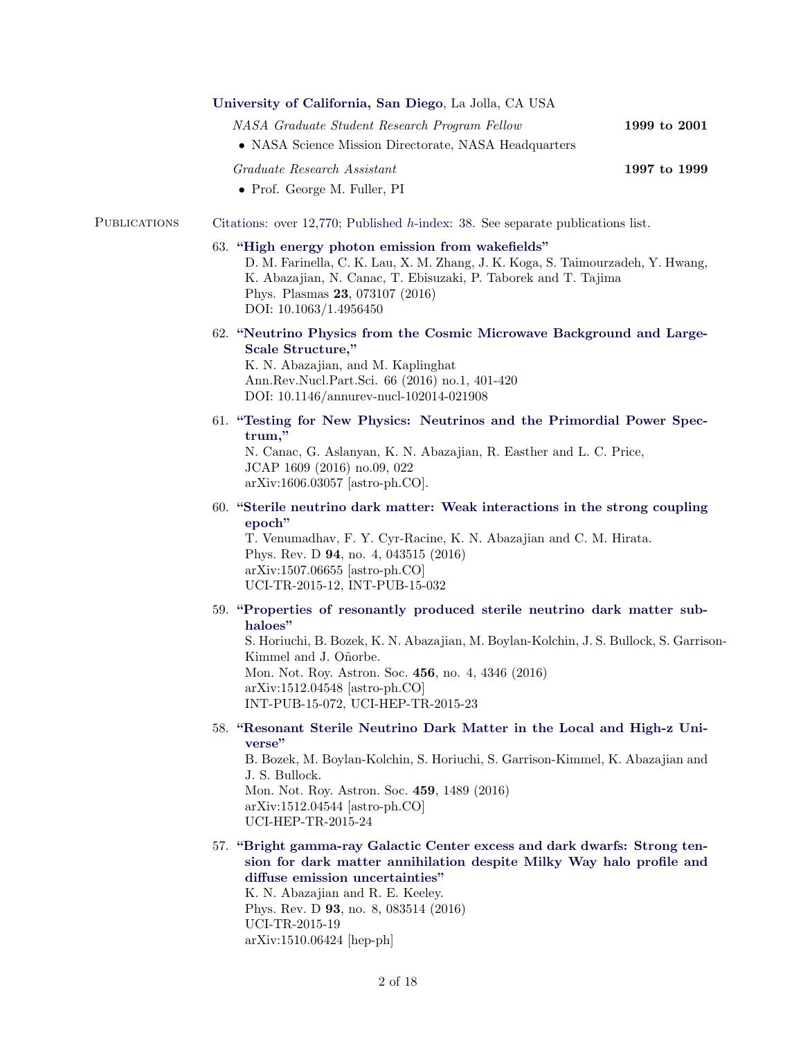|                     | University of California, San Diego, La Jolla, CA USA                                                                                                                                                                                                                                                                                 |              |  |
|---------------------|---------------------------------------------------------------------------------------------------------------------------------------------------------------------------------------------------------------------------------------------------------------------------------------------------------------------------------------|--------------|--|
|                     | NASA Graduate Student Research Program Fellow                                                                                                                                                                                                                                                                                         | 1999 to 2001 |  |
|                     | • NASA Science Mission Directorate, NASA Headquarters                                                                                                                                                                                                                                                                                 |              |  |
|                     | Graduate Research Assistant<br>• Prof. George M. Fuller, PI                                                                                                                                                                                                                                                                           | 1997 to 1999 |  |
| <b>PUBLICATIONS</b> | Citations: over 12,770; Published h-index: 38. See separate publications list.                                                                                                                                                                                                                                                        |              |  |
|                     | 63. "High energy photon emission from wakefields"<br>D. M. Farinella, C. K. Lau, X. M. Zhang, J. K. Koga, S. Taimourzadeh, Y. Hwang,<br>K. Abazajian, N. Canac, T. Ebisuzaki, P. Taborek and T. Tajima<br>Phys. Plasmas 23, 073107 (2016)<br>DOI: 10.1063/1.4956450                                                                   |              |  |
|                     | 62. "Neutrino Physics from the Cosmic Microwave Background and Large-<br>Scale Structure,"<br>K. N. Abazajian, and M. Kaplinghat<br>Ann.Rev.Nucl.Part.Sci. 66 (2016) no.1, 401-420<br>DOI: 10.1146/annurev-nucl-102014-021908                                                                                                         |              |  |
|                     | 61. "Testing for New Physics: Neutrinos and the Primordial Power Spec-<br>trum,"<br>N. Canac, G. Aslanyan, K. N. Abazajian, R. Easther and L. C. Price,<br>JCAP 1609 (2016) no.09, 022<br>$arXiv:1606.03057$ [astro-ph.CO].                                                                                                           |              |  |
|                     | 60. "Sterile neutrino dark matter: Weak interactions in the strong coupling<br>epoch"<br>T. Venumadhav, F. Y. Cyr-Racine, K. N. Abazajian and C. M. Hirata.<br>Phys. Rev. D 94, no. 4, 043515 (2016)<br>$arXiv:1507.06655$ [astro-ph.CO]<br>UCI-TR-2015-12, INT-PUB-15-032                                                            |              |  |
|                     | 59. "Properties of resonantly produced sterile neutrino dark matter sub-<br>haloes"<br>S. Horiuchi, B. Bozek, K. N. Abazajian, M. Boylan-Kolchin, J. S. Bullock, S. Garrison-<br>Kimmel and J. Oñorbe.<br>Mon. Not. Roy. Astron. Soc. 456, no. 4, 4346 (2016)<br>arXiv:1512.04548 [astro-ph.CO]<br>INT-PUB-15-072, UCI-HEP-TR-2015-23 |              |  |
|                     | 58. "Resonant Sterile Neutrino Dark Matter in the Local and High-z Uni-<br>verse"<br>B. Bozek, M. Boylan-Kolchin, S. Horiuchi, S. Garrison-Kimmel, K. Abazajian and<br>J. S. Bullock.<br>Mon. Not. Roy. Astron. Soc. 459, 1489 (2016)<br>$arXiv:1512.04544$ [astro-ph.CO]<br>UCI-HEP-TR-2015-24                                       |              |  |
|                     | 57. "Bright gamma-ray Galactic Center excess and dark dwarfs: Strong ten-<br>sion for dark matter annihilation despite Milky Way halo profile and<br>diffuse emission uncertainties"<br>K. N. Abazajian and R. E. Keeley.<br>Phys. Rev. D $93$ , no. 8, 083514 (2016)<br>UCI-TR-2015-19<br>$arXiv:1510.06424$ [hep-ph]                |              |  |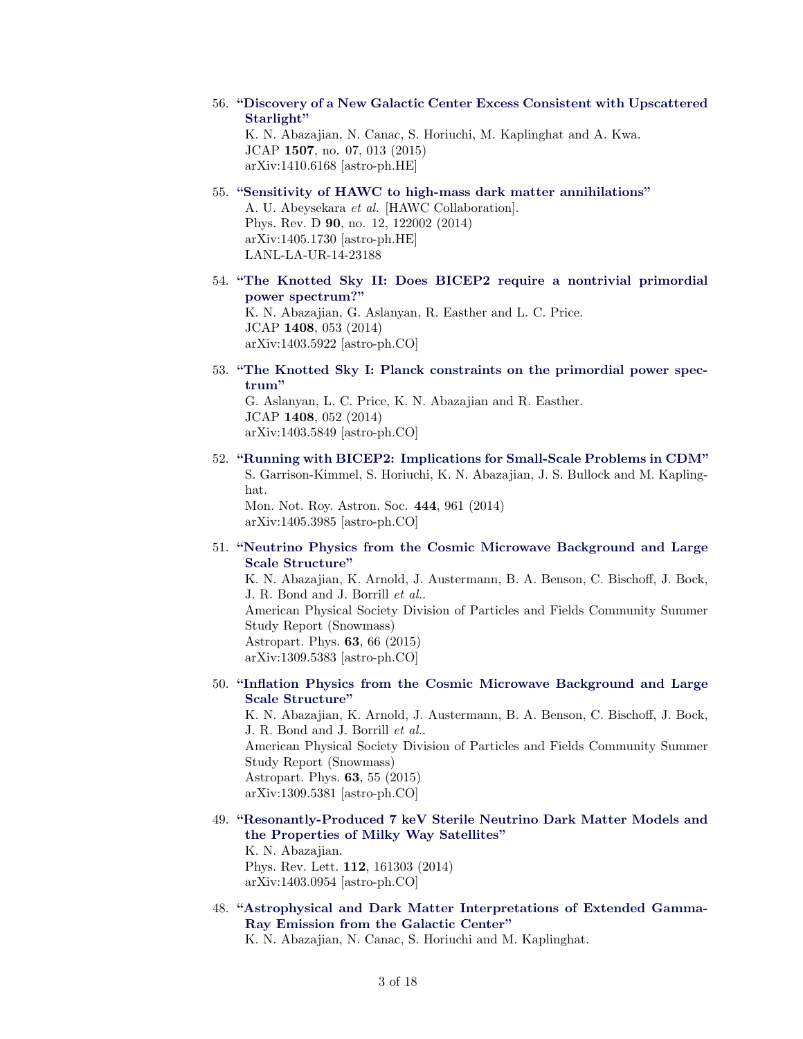- 56. ["Discovery of a New Galactic Center Excess Consistent with Upscattered](https://inspirehep.net/record/1323407) [Starlight"](https://inspirehep.net/record/1323407) K. N. Abazajian, N. Canac, S. Horiuchi, M. Kaplinghat and A. Kwa. JCAP 1507, no. 07, 013 (2015) arXiv:1410.6168 [astro-ph.HE]
- 55. ["Sensitivity of HAWC to high-mass dark matter annihilations"](http://inspirehep.net/record/1294893) A. U. Abeysekara et al. [HAWC Collaboration]. Phys. Rev. D 90, no. 12, 122002 (2014) arXiv:1405.1730 [astro-ph.HE] LANL-LA-UR-14-23188
- 54. ["The Knotted Sky II: Does BICEP2 require a nontrivial primordial](http://inspirehep.net/record/1286863) [power spectrum?"](http://inspirehep.net/record/1286863) K. N. Abazajian, G. Aslanyan, R. Easther and L. C. Price. JCAP 1408, 053 (2014) arXiv:1403.5922 [astro-ph.CO]
- 53. ["The Knotted Sky I: Planck constraints on the primordial power spec](http://inspirehep.net/record/1286856)[trum"](http://inspirehep.net/record/1286856)

G. Aslanyan, L. C. Price, K. N. Abazajian and R. Easther. JCAP 1408, 052 (2014) arXiv:1403.5849 [astro-ph.CO]

52. ["Running with BICEP2: Implications for Small-Scale Problems in CDM"](http://mnras.oxfordjournals.org/cgi/content/long/444/1/961) S. Garrison-Kimmel, S. Horiuchi, K. N. Abazajian, J. S. Bullock and M. Kaplinghat.

Mon. Not. Roy. Astron. Soc. 444, 961 (2014) arXiv:1405.3985 [astro-ph.CO]

51. ["Neutrino Physics from the Cosmic Microwave Background and Large](http://inspirehep.net/record/1254982) [Scale Structure"](http://inspirehep.net/record/1254982)

K. N. Abazajian, K. Arnold, J. Austermann, B. A. Benson, C. Bischoff, J. Bock, J. R. Bond and J. Borrill et al.. American Physical Society Division of Particles and Fields Community Summer Study Report (Snowmass) Astropart. Phys. 63, 66 (2015) arXiv:1309.5383 [astro-ph.CO]

50. ["Inflation Physics from the Cosmic Microwave Background and Large](http://inspirehep.net/record/1254980) [Scale Structure"](http://inspirehep.net/record/1254980)

K. N. Abazajian, K. Arnold, J. Austermann, B. A. Benson, C. Bischoff, J. Bock, J. R. Bond and J. Borrill et al.. American Physical Society Division of Particles and Fields Community Summer Study Report (Snowmass) Astropart. Phys. 63, 55 (2015) arXiv:1309.5381 [astro-ph.CO]

49. ["Resonantly-Produced 7 keV Sterile Neutrino Dark Matter Models and](http://inspirehep.net/record/1283704) [the Properties of Milky Way Satellites"](http://inspirehep.net/record/1283704)

K. N. Abazajian. Phys. Rev. Lett. 112, 161303 (2014) arXiv:1403.0954 [astro-ph.CO]

48. ["Astrophysical and Dark Matter Interpretations of Extended Gamma-](http://inspirehep.net/record/1281519)[Ray Emission from the Galactic Center"](http://inspirehep.net/record/1281519)

K. N. Abazajian, N. Canac, S. Horiuchi and M. Kaplinghat.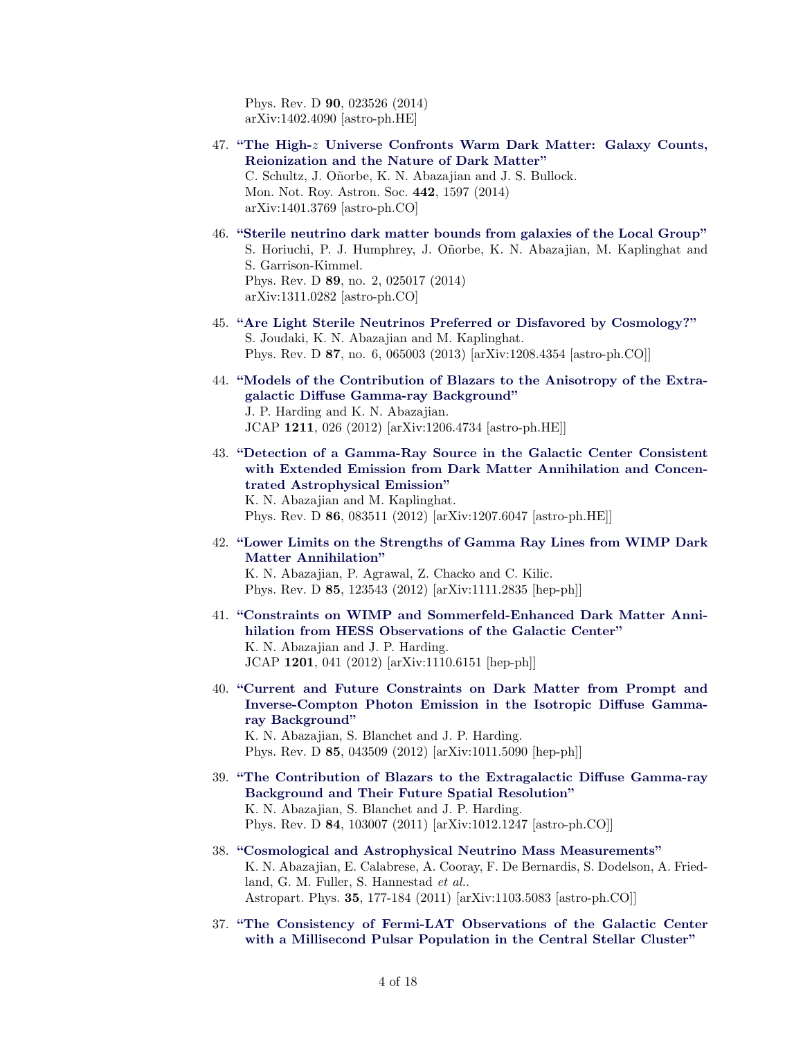Phys. Rev. D 90, 023526 (2014) arXiv:1402.4090 [astro-ph.HE]

- 47. "The High- $z$  [Universe Confronts Warm Dark Matter: Galaxy Counts,](http://inspirehep.net/record/1277852) [Reionization and the Nature of Dark Matter"](http://inspirehep.net/record/1277852) C. Schultz, J. Oñorbe, K. N. Abazajian and J. S. Bullock. Mon. Not. Roy. Astron. Soc. 442, 1597 (2014) arXiv:1401.3769 [astro-ph.CO]
- 46. ["Sterile neutrino dark matter bounds from galaxies of the Local Group"](http://inspirehep.net/record/1263145) S. Horiuchi, P. J. Humphrey, J. Oñorbe, K. N. Abazajian, M. Kaplinghat and S. Garrison-Kimmel. Phys. Rev. D 89, no. 2, 025017 (2014) arXiv:1311.0282 [astro-ph.CO]
- 45. ["Are Light Sterile Neutrinos Preferred or Disfavored by Cosmology?"](http://inspirehep.net/record/1128451) S. Joudaki, K. N. Abazajian and M. Kaplinghat. Phys. Rev. D 87, no. 6, 065003 (2013) [arXiv:1208.4354 [astro-ph.CO]]
- 44. ["Models of the Contribution of Blazars to the Anisotropy of the Extra](http://inspirehep.net/record/1119018)[galactic Diffuse Gamma-ray Background"](http://inspirehep.net/record/1119018) J. P. Harding and K. N. Abazajian. JCAP 1211, 026 (2012) [arXiv:1206.4734 [astro-ph.HE]]
- 43. ["Detection of a Gamma-Ray Source in the Galactic Center Consistent](http://inspirehep.net/record/1123768) [with Extended Emission from Dark Matter Annihilation and Concen](http://inspirehep.net/record/1123768)[trated Astrophysical Emission"](http://inspirehep.net/record/1123768)

K. N. Abazajian and M. Kaplinghat. Phys. Rev. D 86, 083511 (2012) [arXiv:1207.6047 [astro-ph.HE]]

42. ["Lower Limits on the Strengths of Gamma Ray Lines from WIMP Dark](http://inspirehep.net/record/945519) [Matter Annihilation"](http://inspirehep.net/record/945519)

K. N. Abazajian, P. Agrawal, Z. Chacko and C. Kilic. Phys. Rev. D 85, 123543 (2012) [arXiv:1111.2835 [hep-ph]]

- 41. ["Constraints on WIMP and Sommerfeld-Enhanced Dark Matter Anni](http://inspirehep.net/record/943356)[hilation from HESS Observations of the Galactic Center"](http://inspirehep.net/record/943356) K. N. Abazajian and J. P. Harding. JCAP 1201, 041 (2012) [arXiv:1110.6151 [hep-ph]]
- 40. ["Current and Future Constraints on Dark Matter from Prompt and](http://inspirehep.net/record/880657) [Inverse-Compton Photon Emission in the Isotropic Diffuse Gamma](http://inspirehep.net/record/880657)[ray Background"](http://inspirehep.net/record/880657) K. N. Abazajian, S. Blanchet and J. P. Harding. Phys. Rev. D 85, 043509 (2012) [arXiv:1011.5090 [hep-ph]]
- 39. ["The Contribution of Blazars to the Extragalactic Diffuse Gamma-ray](http://inspirehep.net/record/879899) [Background and Their Future Spatial Resolution"](http://inspirehep.net/record/879899) K. N. Abazajian, S. Blanchet and J. P. Harding. Phys. Rev. D 84, 103007 (2011) [arXiv:1012.1247 [astro-ph.CO]]
- 38. ["Cosmological and Astrophysical Neutrino Mass Measurements"](http://inspirehep.net/record/894274) K. N. Abazajian, E. Calabrese, A. Cooray, F. De Bernardis, S. Dodelson, A. Friedland, G. M. Fuller, S. Hannestad et al.. Astropart. Phys. 35, 177-184 (2011) [arXiv:1103.5083 [astro-ph.CO]]
- 37. ["The Consistency of Fermi-LAT Observations of the Galactic Center](http://inspirehep.net/record/878087) [with a Millisecond Pulsar Population in the Central Stellar Cluster"](http://inspirehep.net/record/878087)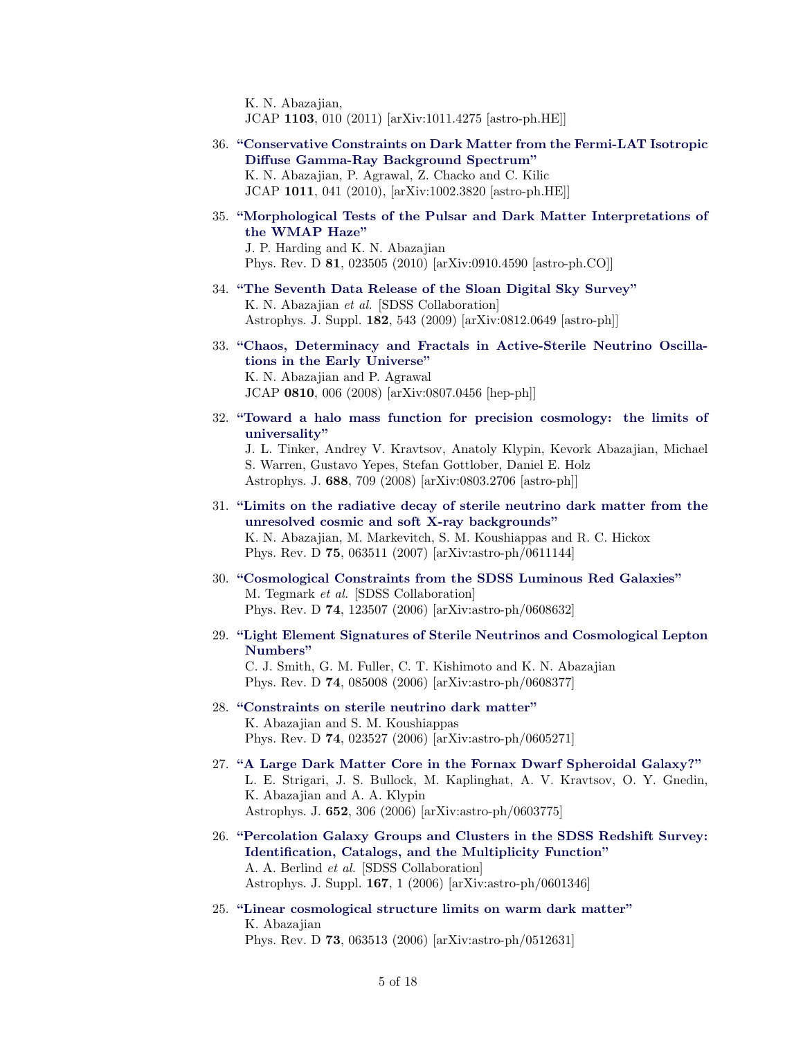K. N. Abazajian,

JCAP 1103, 010 (2011) [arXiv:1011.4275 [astro-ph.HE]]

36. ["Conservative Constraints on Dark Matter from the Fermi-LAT Isotropic](http://inspirehep.net/record/846157) [Diffuse Gamma-Ray Background Spectrum"](http://inspirehep.net/record/846157) K. N. Abazajian, P. Agrawal, Z. Chacko and C. Kilic

JCAP 1011, 041 (2010), [arXiv:1002.3820 [astro-ph.HE]]

35. ["Morphological Tests of the Pulsar and Dark Matter Interpretations of](http://inspirehep.net/record/835057) [the WMAP Haze"](http://inspirehep.net/record/835057) J. P. Harding and K. N. Abazajian

Phys. Rev. D 81, 023505 (2010) [arXiv:0910.4590 [astro-ph.CO]]

- 34. ["The Seventh Data Release of the Sloan Digital Sky Survey"](http://inspirehep.net/record/804215) K. N. Abazajian et al. [SDSS Collaboration] Astrophys. J. Suppl. 182, 543 (2009) [arXiv:0812.0649 [astro-ph]]
- 33. ["Chaos, Determinacy and Fractals in Active-Sterile Neutrino Oscilla](http://inspirehep.net/record/789835)[tions in the Early Universe"](http://inspirehep.net/record/789835) K. N. Abazajian and P. Agrawal JCAP 0810, 006 (2008) [arXiv:0807.0456 [hep-ph]]
- 32. ["Toward a halo mass function for precision cosmology: the limits of](http://inspirehep.net/record/781622) [universality"](http://inspirehep.net/record/781622)

J. L. Tinker, Andrey V. Kravtsov, Anatoly Klypin, Kevork Abazajian, Michael S. Warren, Gustavo Yepes, Stefan Gottlober, Daniel E. Holz Astrophys. J. 688, 709 (2008) [arXiv:0803.2706 [astro-ph]]

- 31. ["Limits on the radiative decay of sterile neutrino dark matter from the](http://inspirehep.net/record/730898) [unresolved cosmic and soft X-ray backgrounds"](http://inspirehep.net/record/730898) K. N. Abazajian, M. Markevitch, S. M. Koushiappas and R. C. Hickox Phys. Rev. D 75, 063511 (2007) [arXiv:astro-ph/0611144]
- 30. ["Cosmological Constraints from the SDSS Luminous Red Galaxies"](http://inspirehep.net/record/724842) M. Tegmark et al. [SDSS Collaboration] Phys. Rev. D 74, 123507 (2006) [arXiv:astro-ph/0608632]
- 29. ["Light Element Signatures of Sterile Neutrinos and Cosmological Lepton](http://inspirehep.net/record/723984) [Numbers"](http://inspirehep.net/record/723984)

C. J. Smith, G. M. Fuller, C. T. Kishimoto and K. N. Abazajian Phys. Rev. D 74, 085008 (2006) [arXiv:astro-ph/0608377]

- 28. ["Constraints on sterile neutrino dark matter"](http://inspirehep.net/record/716546) K. Abazajian and S. M. Koushiappas Phys. Rev. D 74, 023527 (2006) [arXiv:astro-ph/0605271]
- 27. ["A Large Dark Matter Core in the Fornax Dwarf Spheroidal Galaxy?"](http://inspirehep.net/record/713307) L. E. Strigari, J. S. Bullock, M. Kaplinghat, A. V. Kravtsov, O. Y. Gnedin, K. Abazajian and A. A. Klypin Astrophys. J. 652, 306 (2006) [arXiv:astro-ph/0603775]
- 26. ["Percolation Galaxy Groups and Clusters in the SDSS Redshift Survey:](http://inspirehep.net/record/708670) [Identification, Catalogs, and the Multiplicity Function"](http://inspirehep.net/record/708670) A. A. Berlind et al. [SDSS Collaboration] Astrophys. J. Suppl. 167, 1 (2006) [arXiv:astro-ph/0601346]
- 25. ["Linear cosmological structure limits on warm dark matter"](http://inspirehep.net/record/701486) K. Abazajian Phys. Rev. D 73, 063513 (2006) [arXiv:astro-ph/0512631]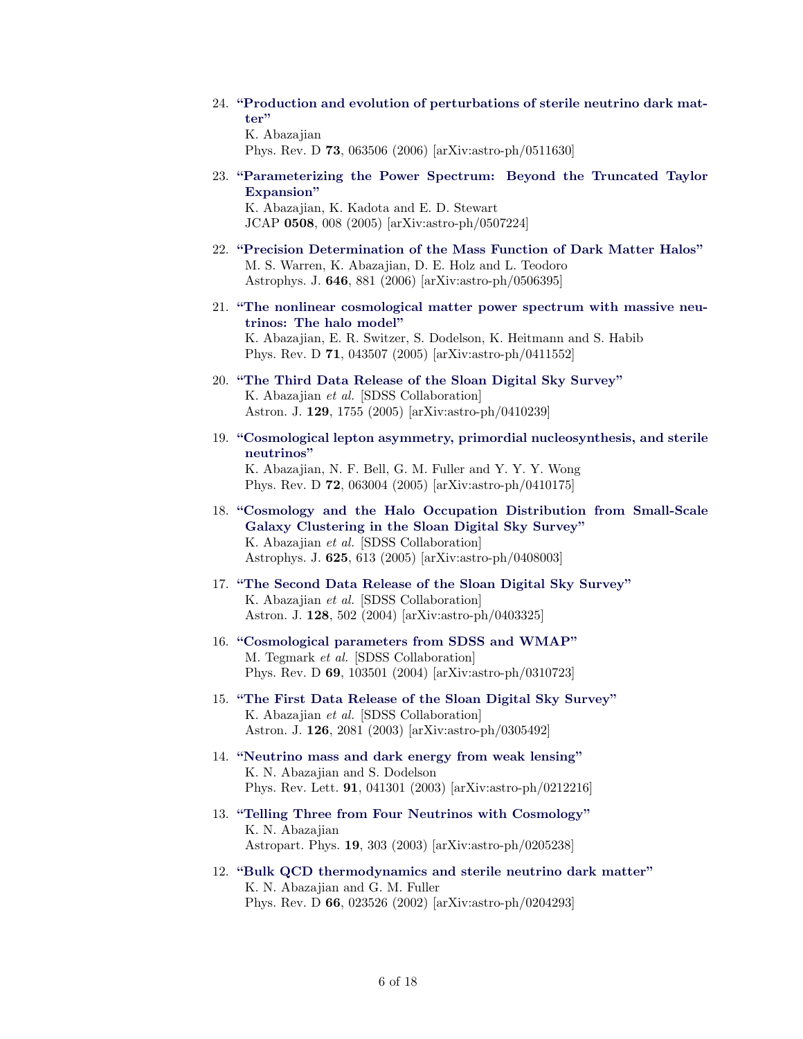24. ["Production and evolution of perturbations of sterile neutrino dark mat](http://inspirehep.net/record/698461)[ter"](http://inspirehep.net/record/698461) K. Abazajian

Phys. Rev. D 73, 063506 (2006) [arXiv:astro-ph/0511630]

23. ["Parameterizing the Power Spectrum: Beyond the Truncated Taylor](http://inspirehep.net/record/687044) [Expansion"](http://inspirehep.net/record/687044) K. Abazajian, K. Kadota and E. D. Stewart

JCAP 0508, 008 (2005) [arXiv:astro-ph/0507224]

- 22. ["Precision Determination of the Mass Function of Dark Matter Halos"](http://inspirehep.net/record/685314) M. S. Warren, K. Abazajian, D. E. Holz and L. Teodoro Astrophys. J. 646, 881 (2006) [arXiv:astro-ph/0506395]
- 21. ["The nonlinear cosmological matter power spectrum with massive neu](http://inspirehep.net/record/664870)[trinos: The halo model"](http://inspirehep.net/record/664870) K. Abazajian, E. R. Switzer, S. Dodelson, K. Heitmann and S. Habib Phys. Rev. D 71, 043507 (2005) [arXiv:astro-ph/0411552]
- 20. ["The Third Data Release of the Sloan Digital Sky Survey"](http://inspirehep.net/record/661517) K. Abazajian et al. [SDSS Collaboration] Astron. J. 129, 1755 (2005) [arXiv:astro-ph/0410239]
- 19. ["Cosmological lepton asymmetry, primordial nucleosynthesis, and sterile](http://inspirehep.net/record/661329) [neutrinos"](http://inspirehep.net/record/661329) K. Abazajian, N. F. Bell, G. M. Fuller and Y. Y. Y. Wong Phys. Rev. D 72, 063004 (2005) [arXiv:astro-ph/0410175]
- 18. ["Cosmology and the Halo Occupation Distribution from Small-Scale](http://inspirehep.net/record/655553) [Galaxy Clustering in the Sloan Digital Sky Survey"](http://inspirehep.net/record/655553) K. Abazajian et al. [SDSS Collaboration] Astrophys. J. 625, 613 (2005) [arXiv:astro-ph/0408003]
- 17. ["The Second Data Release of the Sloan Digital Sky Survey"](http://inspirehep.net/record/646286) K. Abazajian et al. [SDSS Collaboration] Astron. J. 128, 502 (2004) [arXiv:astro-ph/0403325]
- 16. ["Cosmological parameters from SDSS and WMAP"](http://inspirehep.net/record/631591) M. Tegmark et al. [SDSS Collaboration] Phys. Rev. D 69, 103501 (2004) [arXiv:astro-ph/0310723]
- 15. ["The First Data Release of the Sloan Digital Sky Survey"](http://inspirehep.net/record/619526) K. Abazajian et al. [SDSS Collaboration] Astron. J. 126, 2081 (2003) [arXiv:astro-ph/0305492]
- 14. ["Neutrino mass and dark energy from weak lensing"](http://inspirehep.net/record/604261) K. N. Abazajian and S. Dodelson Phys. Rev. Lett. 91, 041301 (2003) [arXiv:astro-ph/0212216]
- 13. ["Telling Three from Four Neutrinos with Cosmology"](http://inspirehep.net/record/586897) K. N. Abazajian Astropart. Phys. 19, 303 (2003) [arXiv:astro-ph/0205238]
- 12. ["Bulk QCD thermodynamics and sterile neutrino dark matter"](http://inspirehep.net/record/585518) K. N. Abazajian and G. M. Fuller Phys. Rev. D 66, 023526 (2002) [arXiv:astro-ph/0204293]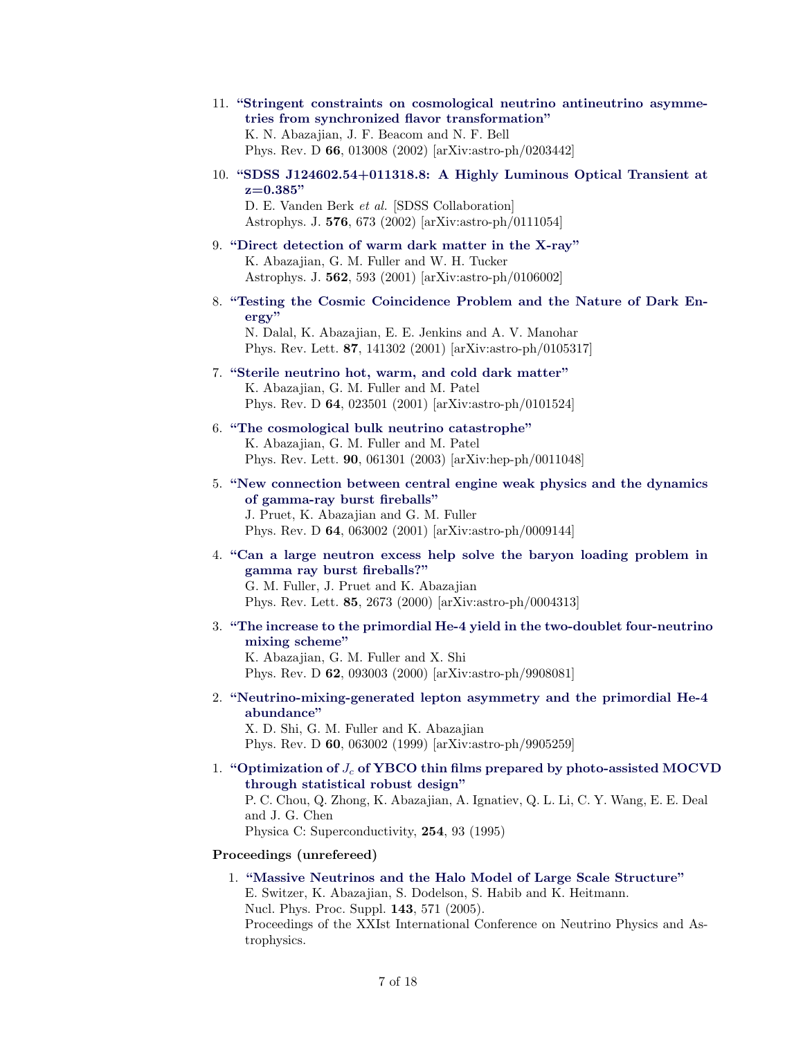# 11. ["Stringent constraints on cosmological neutrino antineutrino asymme](http://inspirehep.net/record/584488)[tries from synchronized flavor transformation"](http://inspirehep.net/record/584488)

K. N. Abazajian, J. F. Beacom and N. F. Bell Phys. Rev. D 66, 013008 (2002) [arXiv:astro-ph/0203442]

10. ["SDSS J124602.54+011318.8: A Highly Luminous Optical Transient at](http://inspirehep.net/record/565498)  $z=0.385"$ 

D. E. Vanden Berk et al. [SDSS Collaboration] Astrophys. J. 576, 673 (2002) [arXiv:astro-ph/0111054]

- 9. ["Direct detection of warm dark matter in the X-ray"](http://inspirehep.net/record/557699) K. Abazajian, G. M. Fuller and W. H. Tucker Astrophys. J. 562, 593 (2001) [arXiv:astro-ph/0106002]
- 8. ["Testing the Cosmic Coincidence Problem and the Nature of Dark En](http://inspirehep.net/record/556922)[ergy"](http://inspirehep.net/record/556922)

N. Dalal, K. Abazajian, E. E. Jenkins and A. V. Manohar Phys. Rev. Lett. 87, 141302 (2001) [arXiv:astro-ph/0105317]

## 7. ["Sterile neutrino hot, warm, and cold dark matter"](http://inspirehep.net/record/552590) K. Abazajian, G. M. Fuller and M. Patel Phys. Rev. D 64, 023501 (2001) [arXiv:astro-ph/0101524]

- 6. ["The cosmological bulk neutrino catastrophe"](http://inspirehep.net/record/536216) K. Abazajian, G. M. Fuller and M. Patel Phys. Rev. Lett. 90, 061301 (2003) [arXiv:hep-ph/0011048]
- 5. ["New connection between central engine weak physics and the dynamics](http://inspirehep.net/record/533196) [of gamma-ray burst fireballs"](http://inspirehep.net/record/533196) J. Pruet, K. Abazajian and G. M. Fuller Phys. Rev. D 64, 063002 (2001) [arXiv:astro-ph/0009144]
- 4. ["Can a large neutron excess help solve the baryon loading problem in](http://inspirehep.net/record/526543) [gamma ray burst fireballs?"](http://inspirehep.net/record/526543) G. M. Fuller, J. Pruet and K. Abazajian

Phys. Rev. Lett. 85, 2673 (2000) [arXiv:astro-ph/0004313]

3. ["The increase to the primordial He-4 yield in the two-doublet four-neutrino](http://inspirehep.net/record/505400) [mixing scheme"](http://inspirehep.net/record/505400)

K. Abazajian, G. M. Fuller and X. Shi Phys. Rev. D 62, 093003 (2000) [arXiv:astro-ph/9908081]

2. ["Neutrino-mixing-generated lepton asymmetry and the primordial He-4](http://inspirehep.net/record/500310) [abundance"](http://inspirehep.net/record/500310)

X. D. Shi, G. M. Fuller and K. Abazajian Phys. Rev. D 60, 063002 (1999) [arXiv:astro-ph/9905259]

1. "Optimization of  $J_c$  [of YBCO thin films prepared by photo-assisted MOCV](http://dx.doi.org/10.1016/0921-4534(95)00563-3)D [through statistical robust design"](http://dx.doi.org/10.1016/0921-4534(95)00563-3)

P. C. Chou, Q. Zhong, K. Abazajian, A. Ignatiev, Q. L. Li, C. Y. Wang, E. E. Deal and J. G. Chen

Physica C: Superconductivity, 254, 93 (1995)

## Proceedings (unrefereed)

1. ["Massive Neutrinos and the Halo Model of Large Scale Structure"](http://inspirehep.net/record/1421834) E. Switzer, K. Abazajian, S. Dodelson, S. Habib and K. Heitmann. Nucl. Phys. Proc. Suppl. 143, 571 (2005). Proceedings of the XXIst International Conference on Neutrino Physics and Astrophysics.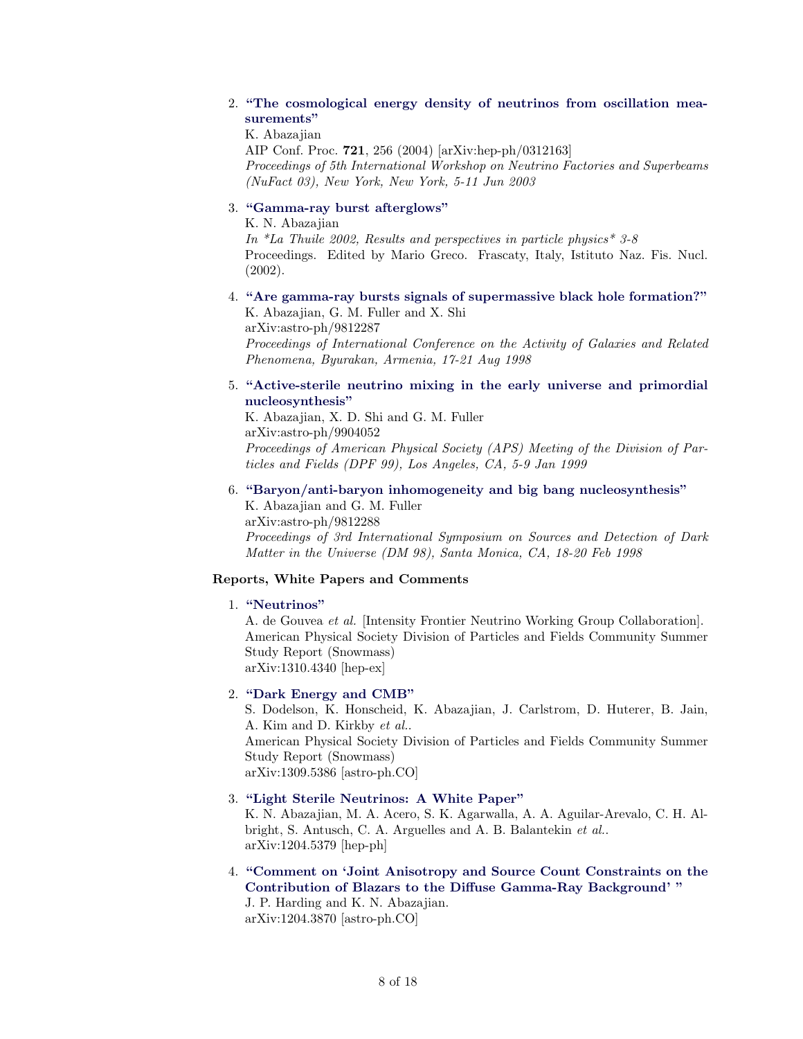## 2. ["The cosmological energy density of neutrinos from oscillation mea](http://inspirehep.net/record/635453)[surements"](http://inspirehep.net/record/635453)

K. Abazajian

AIP Conf. Proc. 721, 256 (2004) [arXiv:hep-ph/0312163] Proceedings of 5th International Workshop on Neutrino Factories and Superbeams (NuFact 03), New York, New York, 5-11 Jun 2003

## 3. ["Gamma-ray burst afterglows"](http://inspirehep.net/record/610908)

K. N. Abazajian

In  $*$ La Thuile 2002, Results and perspectives in particle physics  $*$  3-8 Proceedings. Edited by Mario Greco. Frascaty, Italy, Istituto Naz. Fis. Nucl. (2002).

#### 4. ["Are gamma-ray bursts signals of supermassive black hole formation?"](http://inspirehep.net/record/483942) K. Abazajian, G. M. Fuller and X. Shi

arXiv:astro-ph/9812287 Proceedings of International Conference on the Activity of Galaxies and Related Phenomena, Byurakan, Armenia, 17-21 Aug 1998

## 5. ["Active-sterile neutrino mixing in the early universe and primordial](http://inspirehep.net/record/497782) [nucleosynthesis"](http://inspirehep.net/record/497782)

K. Abazajian, X. D. Shi and G. M. Fuller arXiv:astro-ph/9904052 Proceedings of American Physical Society (APS) Meeting of the Division of Particles and Fields (DPF 99), Los Angeles, CA, 5-9 Jan 1999

## 6. ["Baryon/anti-baryon inhomogeneity and big bang nucleosynthesis"](http://inspirehep.net/record/481529)

K. Abazajian and G. M. Fuller arXiv:astro-ph/9812288 Proceedings of 3rd International Symposium on Sources and Detection of Dark Matter in the Universe (DM 98), Santa Monica, CA, 18-20 Feb 1998

## Reports, White Papers and Comments

## 1. ["Neutrinos"](http://inspirehep.net/record/1260555)

A. de Gouvea et al. [Intensity Frontier Neutrino Working Group Collaboration]. American Physical Society Division of Particles and Fields Community Summer Study Report (Snowmass) arXiv:1310.4340 [hep-ex]

## 2. ["Dark Energy and CMB"](http://inspirehep.net/record/1254985)

S. Dodelson, K. Honscheid, K. Abazajian, J. Carlstrom, D. Huterer, B. Jain, A. Kim and D. Kirkby et al.. American Physical Society Division of Particles and Fields Community Summer Study Report (Snowmass) arXiv:1309.5386 [astro-ph.CO]

## 3. ["Light Sterile Neutrinos: A White Paper"](http://inspirehep.net/record/1112149)

K. N. Abazajian, M. A. Acero, S. K. Agarwalla, A. A. Aguilar-Arevalo, C. H. Albright, S. Antusch, C. A. Arguelles and A. B. Balantekin et al.. arXiv:1204.5379 [hep-ph]

4. ["Comment on 'Joint Anisotropy and Source Count Constraints on the](http://inspirehep.net/record/1111127) [Contribution of Blazars to the Diffuse Gamma-Ray Background' "](http://inspirehep.net/record/1111127) J. P. Harding and K. N. Abazajian.

arXiv:1204.3870 [astro-ph.CO]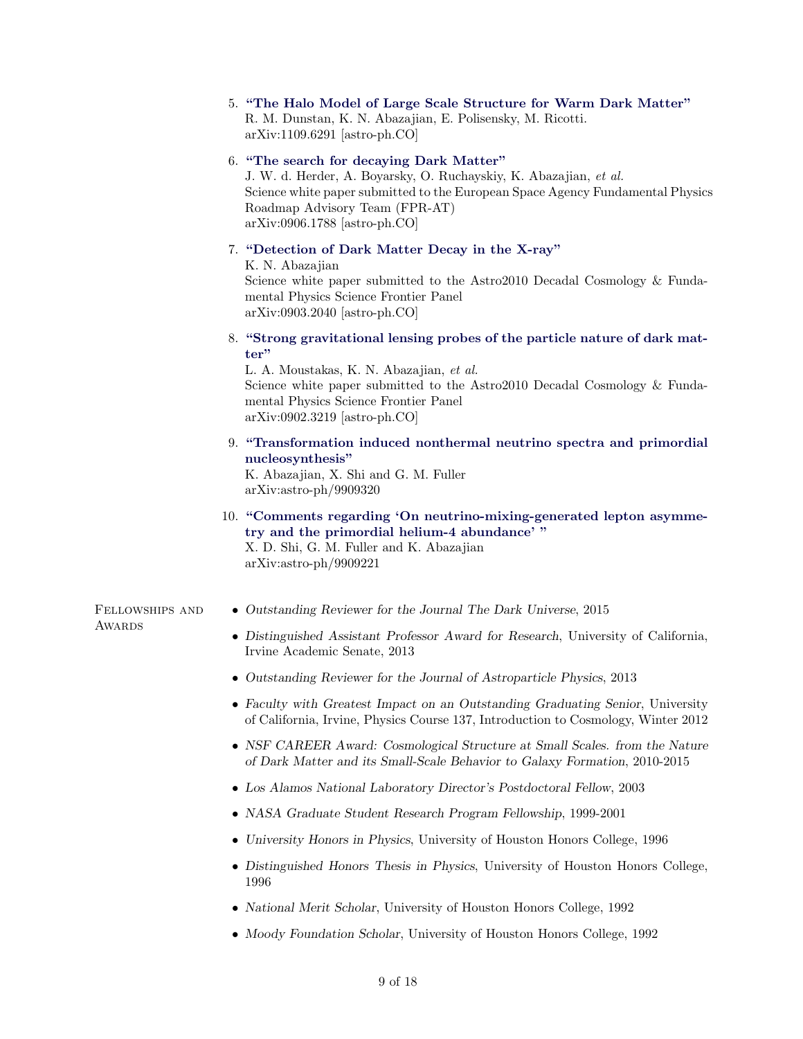|                 | 5. "The Halo Model of Large Scale Structure for Warm Dark Matter"<br>R. M. Dunstan, K. N. Abazajian, E. Polisensky, M. Ricotti.<br>$arXiv:1109.6291$ [astro-ph.CO]                                                                                                   |  |
|-----------------|----------------------------------------------------------------------------------------------------------------------------------------------------------------------------------------------------------------------------------------------------------------------|--|
|                 | 6. "The search for decaying Dark Matter"<br>J. W. d. Herder, A. Boyarsky, O. Ruchayskiy, K. Abazajian, et al.<br>Science white paper submitted to the European Space Agency Fundamental Physics<br>Roadmap Advisory Team (FPR-AT)<br>$arXiv:0906.1788$ [astro-ph.CO] |  |
|                 | 7. "Detection of Dark Matter Decay in the X-ray"<br>K. N. Abazajian<br>Science white paper submitted to the Astro2010 Decadal Cosmology & Funda-<br>mental Physics Science Frontier Panel<br>$arXiv:0903.2040$ [astro-ph.CO]                                         |  |
|                 | 8. "Strong gravitational lensing probes of the particle nature of dark mat-<br>ter"                                                                                                                                                                                  |  |
|                 | L. A. Moustakas, K. N. Abazajian, et al.<br>Science white paper submitted to the Astro2010 Decadal Cosmology & Funda-<br>mental Physics Science Frontier Panel<br>$arXiv:0902.3219$ [astro-ph.CO]                                                                    |  |
|                 | 9. "Transformation induced nonthermal neutrino spectra and primordial<br>nucleosynthesis"<br>K. Abazajian, X. Shi and G. M. Fuller<br>$arXiv:astro-ph/9909320$                                                                                                       |  |
|                 | 10. "Comments regarding 'On neutrino-mixing-generated lepton asymme-<br>try and the primordial helium-4 abundance'"<br>X. D. Shi, G. M. Fuller and K. Abazajian<br>arXiv:astro-ph/9909221                                                                            |  |
| FELLOWSHIPS AND | • Outstanding Reviewer for the Journal The Dark Universe, 2015                                                                                                                                                                                                       |  |
| <b>AWARDS</b>   | • Distinguished Assistant Professor Award for Research, University of California,<br>Irvine Academic Senate, 2013                                                                                                                                                    |  |
|                 | • Outstanding Reviewer for the Journal of Astroparticle Physics, 2013                                                                                                                                                                                                |  |
|                 | • Faculty with Greatest Impact on an Outstanding Graduating Senior, University<br>of California, Irvine, Physics Course 137, Introduction to Cosmology, Winter 2012                                                                                                  |  |
|                 | • NSF CAREER Award: Cosmological Structure at Small Scales. from the Nature<br>of Dark Matter and its Small-Scale Behavior to Galaxy Formation, 2010-2015                                                                                                            |  |
|                 | • Los Alamos National Laboratory Director's Postdoctoral Fellow, 2003                                                                                                                                                                                                |  |
|                 | • NASA Graduate Student Research Program Fellowship, 1999-2001                                                                                                                                                                                                       |  |
|                 | • University Honors in Physics, University of Houston Honors College, 1996                                                                                                                                                                                           |  |
|                 | • Distinguished Honors Thesis in Physics, University of Houston Honors College,<br>1996                                                                                                                                                                              |  |
|                 | • National Merit Scholar, University of Houston Honors College, 1992                                                                                                                                                                                                 |  |
|                 | • Moody Foundation Scholar, University of Houston Honors College, 1992                                                                                                                                                                                               |  |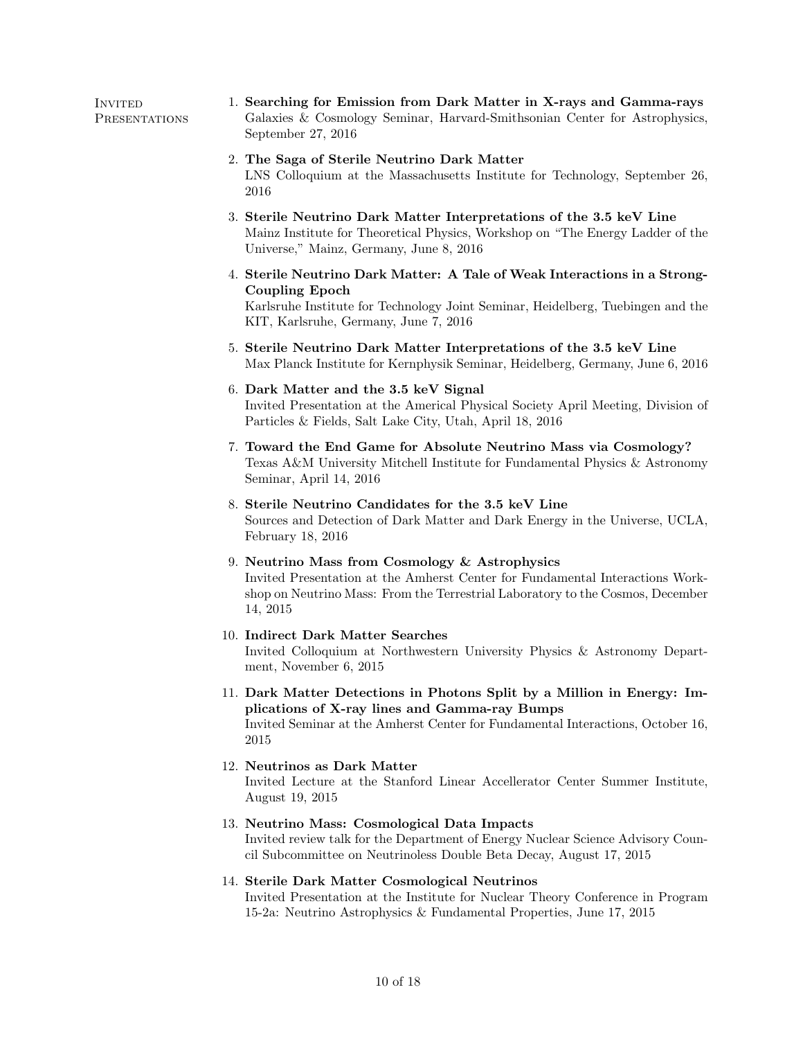**INVITED PRESENTATIONS** 1. Searching for Emission from Dark Matter in X-rays and Gamma-rays Galaxies & Cosmology Seminar, Harvard-Smithsonian Center for Astrophysics, September 27, 2016 2. The Saga of Sterile Neutrino Dark Matter LNS Colloquium at the Massachusetts Institute for Technology, September 26, 2016 3. Sterile Neutrino Dark Matter Interpretations of the 3.5 keV Line Mainz Institute for Theoretical Physics, Workshop on "The Energy Ladder of the Universe," Mainz, Germany, June 8, 2016 4. Sterile Neutrino Dark Matter: A Tale of Weak Interactions in a Strong-Coupling Epoch Karlsruhe Institute for Technology Joint Seminar, Heidelberg, Tuebingen and the KIT, Karlsruhe, Germany, June 7, 2016 5. Sterile Neutrino Dark Matter Interpretations of the 3.5 keV Line Max Planck Institute for Kernphysik Seminar, Heidelberg, Germany, June 6, 2016 6. Dark Matter and the 3.5 keV Signal Invited Presentation at the Americal Physical Society April Meeting, Division of Particles & Fields, Salt Lake City, Utah, April 18, 2016 7. Toward the End Game for Absolute Neutrino Mass via Cosmology? Texas A&M University Mitchell Institute for Fundamental Physics & Astronomy Seminar, April 14, 2016 8. Sterile Neutrino Candidates for the 3.5 keV Line Sources and Detection of Dark Matter and Dark Energy in the Universe, UCLA, February 18, 2016 9. Neutrino Mass from Cosmology & Astrophysics Invited Presentation at the Amherst Center for Fundamental Interactions Workshop on Neutrino Mass: From the Terrestrial Laboratory to the Cosmos, December 14, 2015 10. Indirect Dark Matter Searches Invited Colloquium at Northwestern University Physics & Astronomy Department, November 6, 2015 11. Dark Matter Detections in Photons Split by a Million in Energy: Implications of X-ray lines and Gamma-ray Bumps Invited Seminar at the Amherst Center for Fundamental Interactions, October 16, 2015 12. Neutrinos as Dark Matter Invited Lecture at the Stanford Linear Accellerator Center Summer Institute, August 19, 2015 13. Neutrino Mass: Cosmological Data Impacts Invited review talk for the Department of Energy Nuclear Science Advisory Council Subcommittee on Neutrinoless Double Beta Decay, August 17, 2015 14. Sterile Dark Matter Cosmological Neutrinos Invited Presentation at the Institute for Nuclear Theory Conference in Program 15-2a: Neutrino Astrophysics & Fundamental Properties, June 17, 2015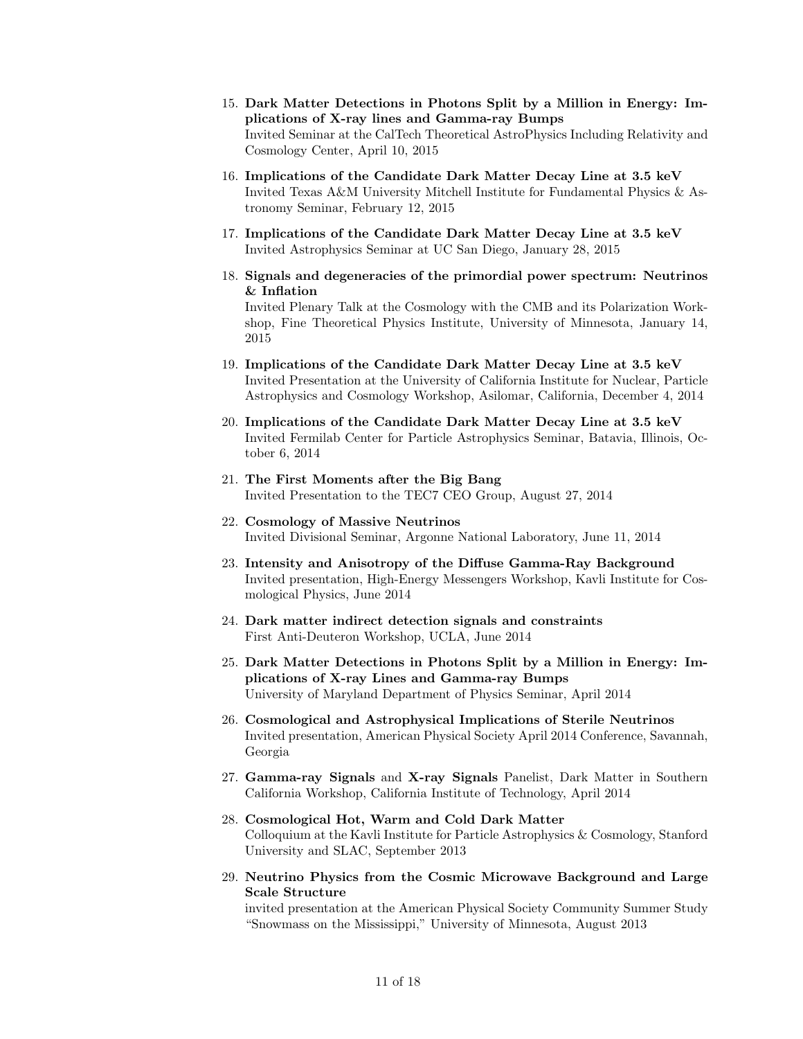- 15. Dark Matter Detections in Photons Split by a Million in Energy: Implications of X-ray lines and Gamma-ray Bumps Invited Seminar at the CalTech Theoretical AstroPhysics Including Relativity and Cosmology Center, April 10, 2015
- 16. Implications of the Candidate Dark Matter Decay Line at 3.5 keV Invited Texas A&M University Mitchell Institute for Fundamental Physics & Astronomy Seminar, February 12, 2015
- 17. Implications of the Candidate Dark Matter Decay Line at 3.5 keV Invited Astrophysics Seminar at UC San Diego, January 28, 2015
- 18. Signals and degeneracies of the primordial power spectrum: Neutrinos & Inflation Invited Plenary Talk at the Cosmology with the CMB and its Polarization Workshop, Fine Theoretical Physics Institute, University of Minnesota, January 14, 2015
- 19. Implications of the Candidate Dark Matter Decay Line at 3.5 keV Invited Presentation at the University of California Institute for Nuclear, Particle Astrophysics and Cosmology Workshop, Asilomar, California, December 4, 2014
- 20. Implications of the Candidate Dark Matter Decay Line at 3.5 keV Invited Fermilab Center for Particle Astrophysics Seminar, Batavia, Illinois, October 6, 2014
- 21. The First Moments after the Big Bang Invited Presentation to the TEC7 CEO Group, August 27, 2014
- 22. Cosmology of Massive Neutrinos Invited Divisional Seminar, Argonne National Laboratory, June 11, 2014
- 23. Intensity and Anisotropy of the Diffuse Gamma-Ray Background Invited presentation, High-Energy Messengers Workshop, Kavli Institute for Cosmological Physics, June 2014
- 24. Dark matter indirect detection signals and constraints First Anti-Deuteron Workshop, UCLA, June 2014
- 25. Dark Matter Detections in Photons Split by a Million in Energy: Implications of X-ray Lines and Gamma-ray Bumps University of Maryland Department of Physics Seminar, April 2014
- 26. Cosmological and Astrophysical Implications of Sterile Neutrinos Invited presentation, American Physical Society April 2014 Conference, Savannah, Georgia
- 27. Gamma-ray Signals and X-ray Signals Panelist, Dark Matter in Southern California Workshop, California Institute of Technology, April 2014
- 28. Cosmological Hot, Warm and Cold Dark Matter Colloquium at the Kavli Institute for Particle Astrophysics & Cosmology, Stanford University and SLAC, September 2013
- 29. Neutrino Physics from the Cosmic Microwave Background and Large Scale Structure

invited presentation at the American Physical Society Community Summer Study "Snowmass on the Mississippi," University of Minnesota, August 2013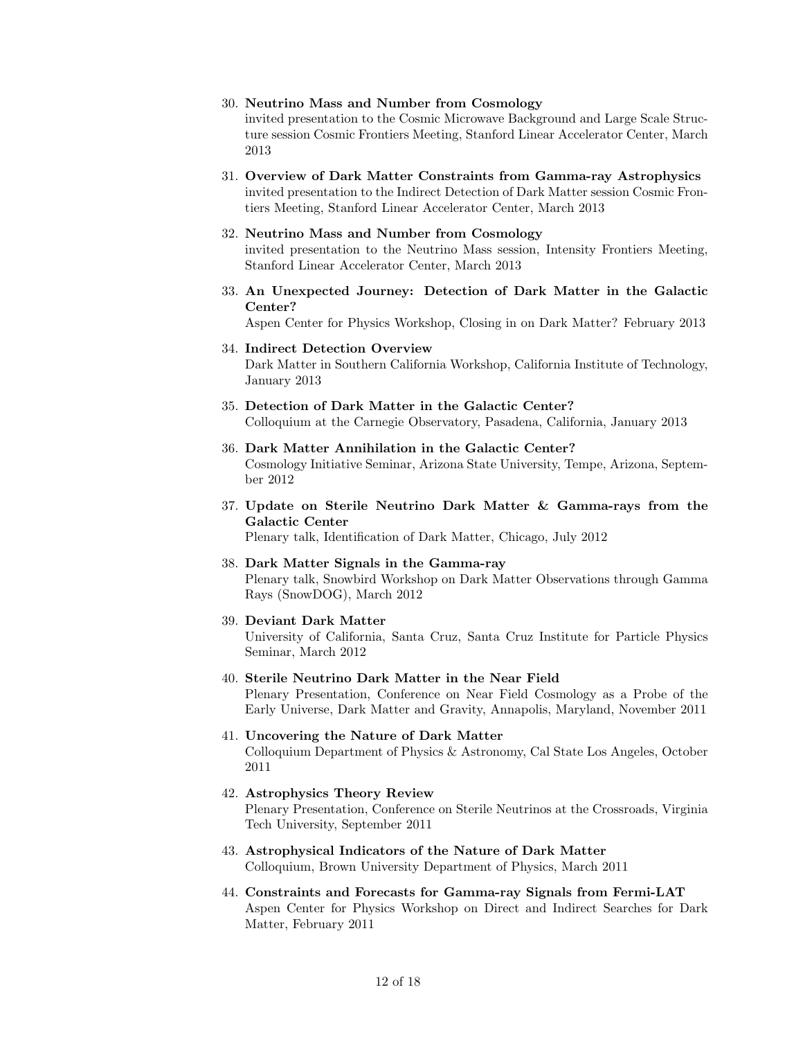#### 30. Neutrino Mass and Number from Cosmology

invited presentation to the Cosmic Microwave Background and Large Scale Structure session Cosmic Frontiers Meeting, Stanford Linear Accelerator Center, March 2013

31. Overview of Dark Matter Constraints from Gamma-ray Astrophysics invited presentation to the Indirect Detection of Dark Matter session Cosmic Frontiers Meeting, Stanford Linear Accelerator Center, March 2013

## 32. Neutrino Mass and Number from Cosmology

invited presentation to the Neutrino Mass session, Intensity Frontiers Meeting, Stanford Linear Accelerator Center, March 2013

33. An Unexpected Journey: Detection of Dark Matter in the Galactic Center?

Aspen Center for Physics Workshop, Closing in on Dark Matter? February 2013

#### 34. Indirect Detection Overview

Dark Matter in Southern California Workshop, California Institute of Technology, January 2013

## 35. Detection of Dark Matter in the Galactic Center? Colloquium at the Carnegie Observatory, Pasadena, California, January 2013

- 36. Dark Matter Annihilation in the Galactic Center? Cosmology Initiative Seminar, Arizona State University, Tempe, Arizona, September 2012
- 37. Update on Sterile Neutrino Dark Matter & Gamma-rays from the Galactic Center

Plenary talk, Identification of Dark Matter, Chicago, July 2012

- 38. Dark Matter Signals in the Gamma-ray Plenary talk, Snowbird Workshop on Dark Matter Observations through Gamma Rays (SnowDOG), March 2012
- 39. Deviant Dark Matter

University of California, Santa Cruz, Santa Cruz Institute for Particle Physics Seminar, March 2012

Early Universe, Dark Matter and Gravity, Annapolis, Maryland, November 2011

- 40. Sterile Neutrino Dark Matter in the Near Field Plenary Presentation, Conference on Near Field Cosmology as a Probe of the
- 41. Uncovering the Nature of Dark Matter Colloquium Department of Physics & Astronomy, Cal State Los Angeles, October 2011
- 42. Astrophysics Theory Review Plenary Presentation, Conference on Sterile Neutrinos at the Crossroads, Virginia Tech University, September 2011
- 43. Astrophysical Indicators of the Nature of Dark Matter Colloquium, Brown University Department of Physics, March 2011
- 44. Constraints and Forecasts for Gamma-ray Signals from Fermi-LAT Aspen Center for Physics Workshop on Direct and Indirect Searches for Dark Matter, February 2011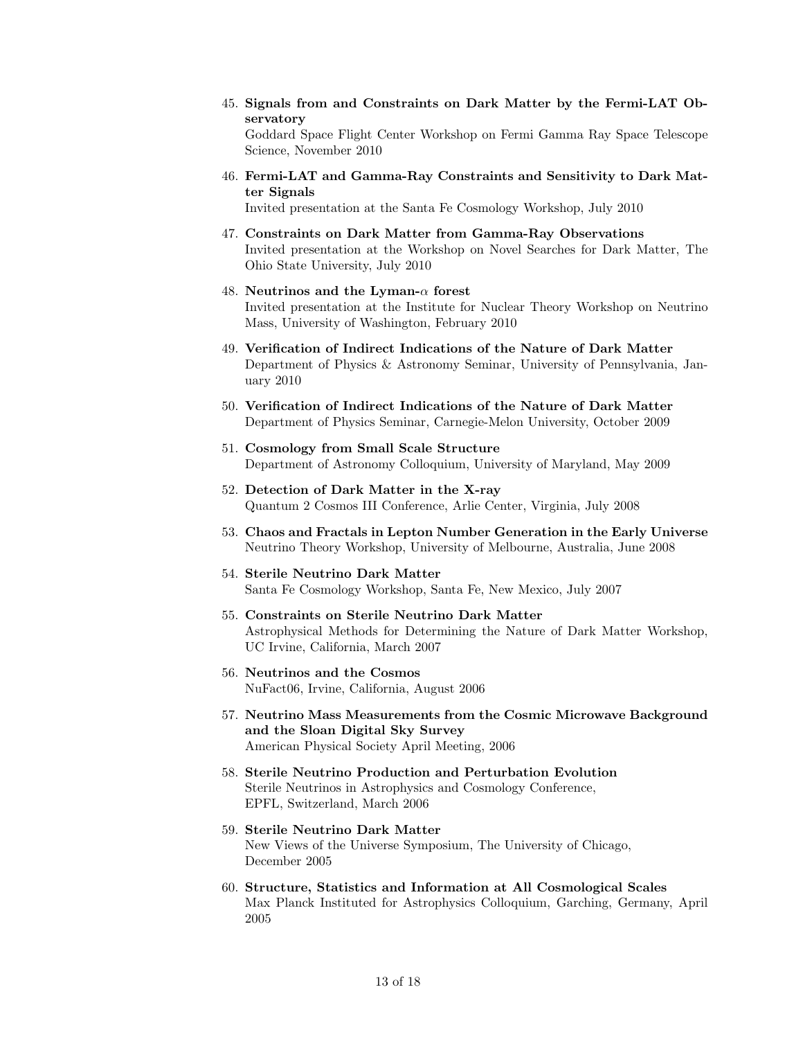- 45. Signals from and Constraints on Dark Matter by the Fermi-LAT Observatory Goddard Space Flight Center Workshop on Fermi Gamma Ray Space Telescope Science, November 2010
- 46. Fermi-LAT and Gamma-Ray Constraints and Sensitivity to Dark Matter Signals

Invited presentation at the Santa Fe Cosmology Workshop, July 2010

- 47. Constraints on Dark Matter from Gamma-Ray Observations Invited presentation at the Workshop on Novel Searches for Dark Matter, The Ohio State University, July 2010
- 48. Neutrinos and the Lyman- $\alpha$  forest Invited presentation at the Institute for Nuclear Theory Workshop on Neutrino Mass, University of Washington, February 2010
- 49. Verification of Indirect Indications of the Nature of Dark Matter Department of Physics & Astronomy Seminar, University of Pennsylvania, January 2010
- 50. Verification of Indirect Indications of the Nature of Dark Matter Department of Physics Seminar, Carnegie-Melon University, October 2009
- 51. Cosmology from Small Scale Structure Department of Astronomy Colloquium, University of Maryland, May 2009
- 52. Detection of Dark Matter in the X-ray Quantum 2 Cosmos III Conference, Arlie Center, Virginia, July 2008
- 53. Chaos and Fractals in Lepton Number Generation in the Early Universe Neutrino Theory Workshop, University of Melbourne, Australia, June 2008
- 54. Sterile Neutrino Dark Matter Santa Fe Cosmology Workshop, Santa Fe, New Mexico, July 2007
- 55. Constraints on Sterile Neutrino Dark Matter Astrophysical Methods for Determining the Nature of Dark Matter Workshop, UC Irvine, California, March 2007
- 56. Neutrinos and the Cosmos NuFact06, Irvine, California, August 2006
- 57. Neutrino Mass Measurements from the Cosmic Microwave Background and the Sloan Digital Sky Survey American Physical Society April Meeting, 2006
- 58. Sterile Neutrino Production and Perturbation Evolution Sterile Neutrinos in Astrophysics and Cosmology Conference, EPFL, Switzerland, March 2006
- 59. Sterile Neutrino Dark Matter New Views of the Universe Symposium, The University of Chicago, December 2005
- 60. Structure, Statistics and Information at All Cosmological Scales Max Planck Instituted for Astrophysics Colloquium, Garching, Germany, April 2005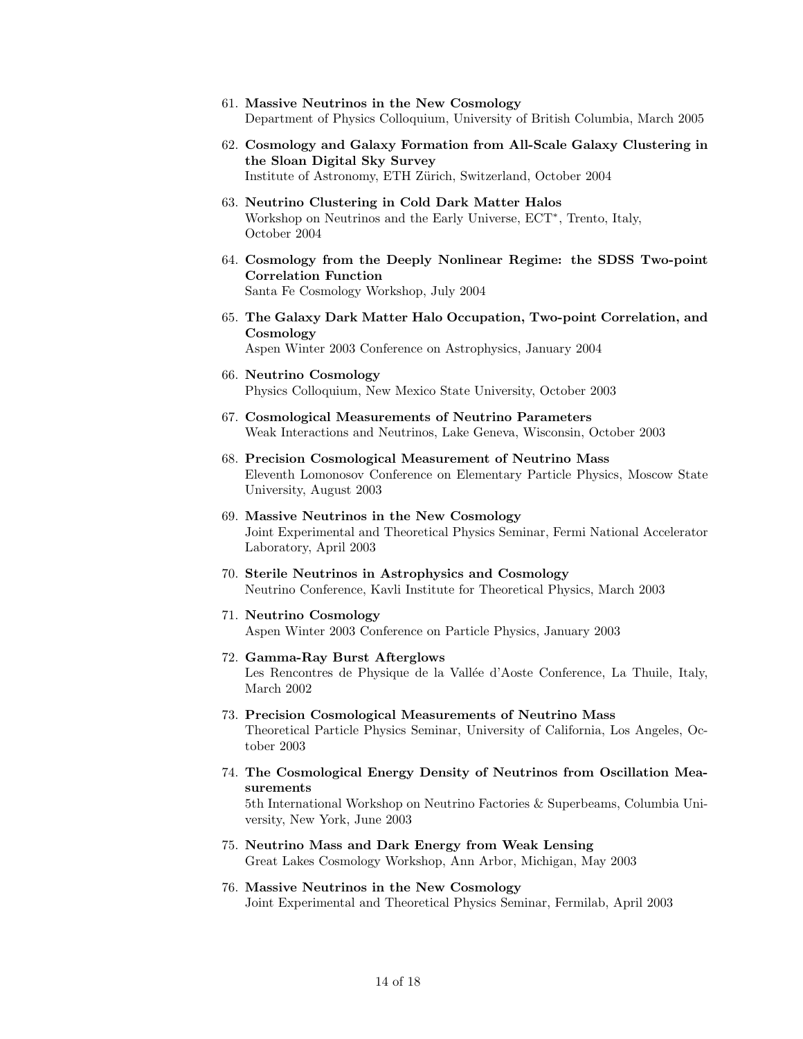- 61. Massive Neutrinos in the New Cosmology Department of Physics Colloquium, University of British Columbia, March 2005
- 62. Cosmology and Galaxy Formation from All-Scale Galaxy Clustering in the Sloan Digital Sky Survey Institute of Astronomy, ETH Zürich, Switzerland, October 2004
- 63. Neutrino Clustering in Cold Dark Matter Halos Workshop on Neutrinos and the Early Universe, ECT<sup>∗</sup> , Trento, Italy, October 2004
- 64. Cosmology from the Deeply Nonlinear Regime: the SDSS Two-point Correlation Function Santa Fe Cosmology Workshop, July 2004
- 65. The Galaxy Dark Matter Halo Occupation, Two-point Correlation, and Cosmology Aspen Winter 2003 Conference on Astrophysics, January 2004
- 66. Neutrino Cosmology Physics Colloquium, New Mexico State University, October 2003
- 67. Cosmological Measurements of Neutrino Parameters Weak Interactions and Neutrinos, Lake Geneva, Wisconsin, October 2003
- 68. Precision Cosmological Measurement of Neutrino Mass Eleventh Lomonosov Conference on Elementary Particle Physics, Moscow State University, August 2003
- 69. Massive Neutrinos in the New Cosmology Joint Experimental and Theoretical Physics Seminar, Fermi National Accelerator Laboratory, April 2003
- 70. Sterile Neutrinos in Astrophysics and Cosmology Neutrino Conference, Kavli Institute for Theoretical Physics, March 2003
- 71. Neutrino Cosmology Aspen Winter 2003 Conference on Particle Physics, January 2003
- 72. Gamma-Ray Burst Afterglows Les Rencontres de Physique de la Vallée d'Aoste Conference, La Thuile, Italy, March 2002
- 73. Precision Cosmological Measurements of Neutrino Mass Theoretical Particle Physics Seminar, University of California, Los Angeles, October 2003
- 74. The Cosmological Energy Density of Neutrinos from Oscillation Measurements

5th International Workshop on Neutrino Factories & Superbeams, Columbia University, New York, June 2003

- 75. Neutrino Mass and Dark Energy from Weak Lensing Great Lakes Cosmology Workshop, Ann Arbor, Michigan, May 2003
- 76. Massive Neutrinos in the New Cosmology Joint Experimental and Theoretical Physics Seminar, Fermilab, April 2003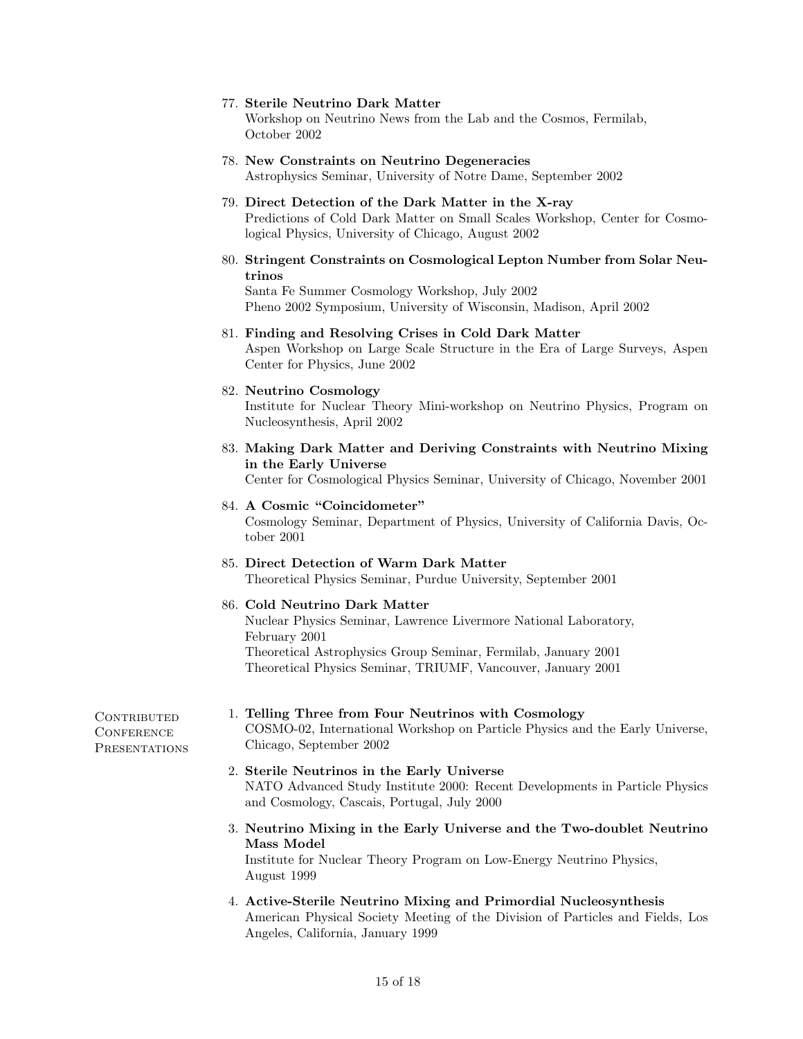#### 77. Sterile Neutrino Dark Matter

Workshop on Neutrino News from the Lab and the Cosmos, Fermilab, October 2002

- 78. New Constraints on Neutrino Degeneracies Astrophysics Seminar, University of Notre Dame, September 2002
- 79. Direct Detection of the Dark Matter in the X-ray Predictions of Cold Dark Matter on Small Scales Workshop, Center for Cosmological Physics, University of Chicago, August 2002
- 80. Stringent Constraints on Cosmological Lepton Number from Solar Neutrinos

Santa Fe Summer Cosmology Workshop, July 2002 Pheno 2002 Symposium, University of Wisconsin, Madison, April 2002

- 81. Finding and Resolving Crises in Cold Dark Matter Aspen Workshop on Large Scale Structure in the Era of Large Surveys, Aspen Center for Physics, June 2002
- 82. Neutrino Cosmology Institute for Nuclear Theory Mini-workshop on Neutrino Physics, Program on Nucleosynthesis, April 2002
- 83. Making Dark Matter and Deriving Constraints with Neutrino Mixing in the Early Universe

Center for Cosmological Physics Seminar, University of Chicago, November 2001

- 84. A Cosmic "Coincidometer" Cosmology Seminar, Department of Physics, University of California Davis, October 2001
- 85. Direct Detection of Warm Dark Matter Theoretical Physics Seminar, Purdue University, September 2001
- 86. Cold Neutrino Dark Matter Nuclear Physics Seminar, Lawrence Livermore National Laboratory, February 2001 Theoretical Astrophysics Group Seminar, Fermilab, January 2001 Theoretical Physics Seminar, TRIUMF, Vancouver, January 2001
- 1. Telling Three from Four Neutrinos with Cosmology COSMO-02, International Workshop on Particle Physics and the Early Universe, Chicago, September 2002
- 2. Sterile Neutrinos in the Early Universe NATO Advanced Study Institute 2000: Recent Developments in Particle Physics and Cosmology, Cascais, Portugal, July 2000
- 3. Neutrino Mixing in the Early Universe and the Two-doublet Neutrino Mass Model Institute for Nuclear Theory Program on Low-Energy Neutrino Physics, August 1999
- 4. Active-Sterile Neutrino Mixing and Primordial Nucleosynthesis American Physical Society Meeting of the Division of Particles and Fields, Los Angeles, California, January 1999

CONTRIBUTED **CONFERENCE PRESENTATIONS**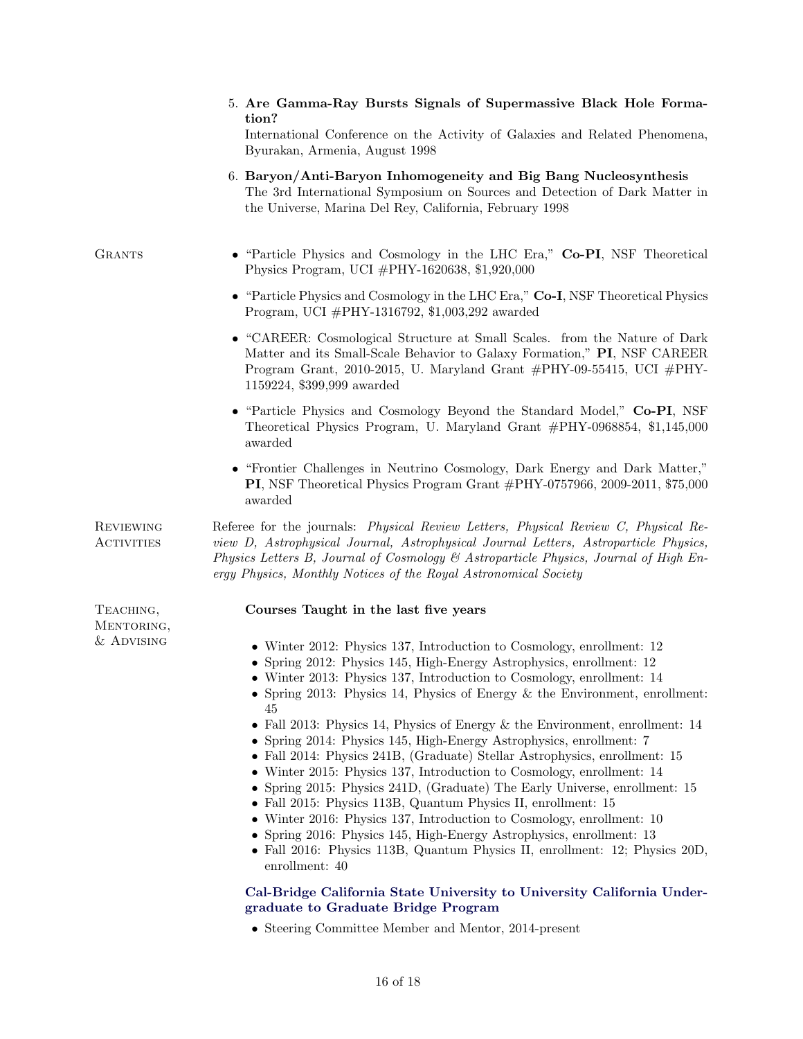|                         | 5. Are Gamma-Ray Bursts Signals of Supermassive Black Hole Forma-<br>tion?<br>International Conference on the Activity of Galaxies and Related Phenomena,<br>Byurakan, Armenia, August 1998                                                                                                                                                                                                                                                                                                                                                                                                                                                                                                                    |
|-------------------------|----------------------------------------------------------------------------------------------------------------------------------------------------------------------------------------------------------------------------------------------------------------------------------------------------------------------------------------------------------------------------------------------------------------------------------------------------------------------------------------------------------------------------------------------------------------------------------------------------------------------------------------------------------------------------------------------------------------|
|                         | 6. Baryon/Anti-Baryon Inhomogeneity and Big Bang Nucleosynthesis<br>The 3rd International Symposium on Sources and Detection of Dark Matter in<br>the Universe, Marina Del Rey, California, February 1998                                                                                                                                                                                                                                                                                                                                                                                                                                                                                                      |
| <b>GRANTS</b>           | • "Particle Physics and Cosmology in the LHC Era," Co-PI, NSF Theoretical<br>Physics Program, UCI #PHY-1620638, \$1,920,000                                                                                                                                                                                                                                                                                                                                                                                                                                                                                                                                                                                    |
|                         | • "Particle Physics and Cosmology in the LHC Era," Co-I, NSF Theoretical Physics<br>Program, UCI $\#$ PHY-1316792, \$1,003,292 awarded                                                                                                                                                                                                                                                                                                                                                                                                                                                                                                                                                                         |
|                         | • "CAREER: Cosmological Structure at Small Scales. from the Nature of Dark<br>Matter and its Small-Scale Behavior to Galaxy Formation," PI, NSF CAREER<br>Program Grant, 2010-2015, U. Maryland Grant $\#PHY$ -09-55415, UCI $\#PHY$ -<br>1159224, \$399,999 awarded                                                                                                                                                                                                                                                                                                                                                                                                                                           |
|                         | • "Particle Physics and Cosmology Beyond the Standard Model," Co-PI, NSF<br>Theoretical Physics Program, U. Maryland Grant #PHY-0968854, \$1,145,000<br>awarded                                                                                                                                                                                                                                                                                                                                                                                                                                                                                                                                                |
|                         | • "Frontier Challenges in Neutrino Cosmology, Dark Energy and Dark Matter,"<br>PI, NSF Theoretical Physics Program Grant #PHY-0757966, 2009-2011, \$75,000<br>awarded                                                                                                                                                                                                                                                                                                                                                                                                                                                                                                                                          |
| REVIEWING<br>ACTIVITIES | Referee for the journals: Physical Review Letters, Physical Review C, Physical Re-<br>view D, Astrophysical Journal, Astrophysical Journal Letters, Astroparticle Physics,<br>Physics Letters B, Journal of Cosmology & Astroparticle Physics, Journal of High En-<br>ergy Physics, Monthly Notices of the Royal Astronomical Society                                                                                                                                                                                                                                                                                                                                                                          |
| TEACHING,<br>MENTORING, | Courses Taught in the last five years                                                                                                                                                                                                                                                                                                                                                                                                                                                                                                                                                                                                                                                                          |
| $\&$ Advising           | • Winter 2012: Physics 137, Introduction to Cosmology, enrollment: 12<br>• Spring 2012: Physics 145, High-Energy Astrophysics, enrollment: 12<br>• Winter 2013: Physics 137, Introduction to Cosmology, enrollment: 14<br>• Spring 2013: Physics 14, Physics of Energy $\&$ the Environment, enrollment:<br>45                                                                                                                                                                                                                                                                                                                                                                                                 |
|                         | • Fall 2013: Physics 14, Physics of Energy $\&$ the Environment, enrollment: 14<br>• Spring 2014: Physics 145, High-Energy Astrophysics, enrollment: 7<br>• Fall 2014: Physics 241B, (Graduate) Stellar Astrophysics, enrollment: 15<br>• Winter 2015: Physics 137, Introduction to Cosmology, enrollment: 14<br>• Spring 2015: Physics 241D, (Graduate) The Early Universe, enrollment: 15<br>• Fall 2015: Physics 113B, Quantum Physics II, enrollment: 15<br>• Winter 2016: Physics 137, Introduction to Cosmology, enrollment: 10<br>• Spring 2016: Physics 145, High-Energy Astrophysics, enrollment: 13<br>• Fall 2016: Physics 113B, Quantum Physics II, enrollment: 12; Physics 20D,<br>enrollment: 40 |
|                         | Cal-Bridge California State University to University California Under-<br>graduate to Graduate Bridge Program                                                                                                                                                                                                                                                                                                                                                                                                                                                                                                                                                                                                  |
|                         | • Steering Committee Member and Mentor, 2014-present                                                                                                                                                                                                                                                                                                                                                                                                                                                                                                                                                                                                                                                           |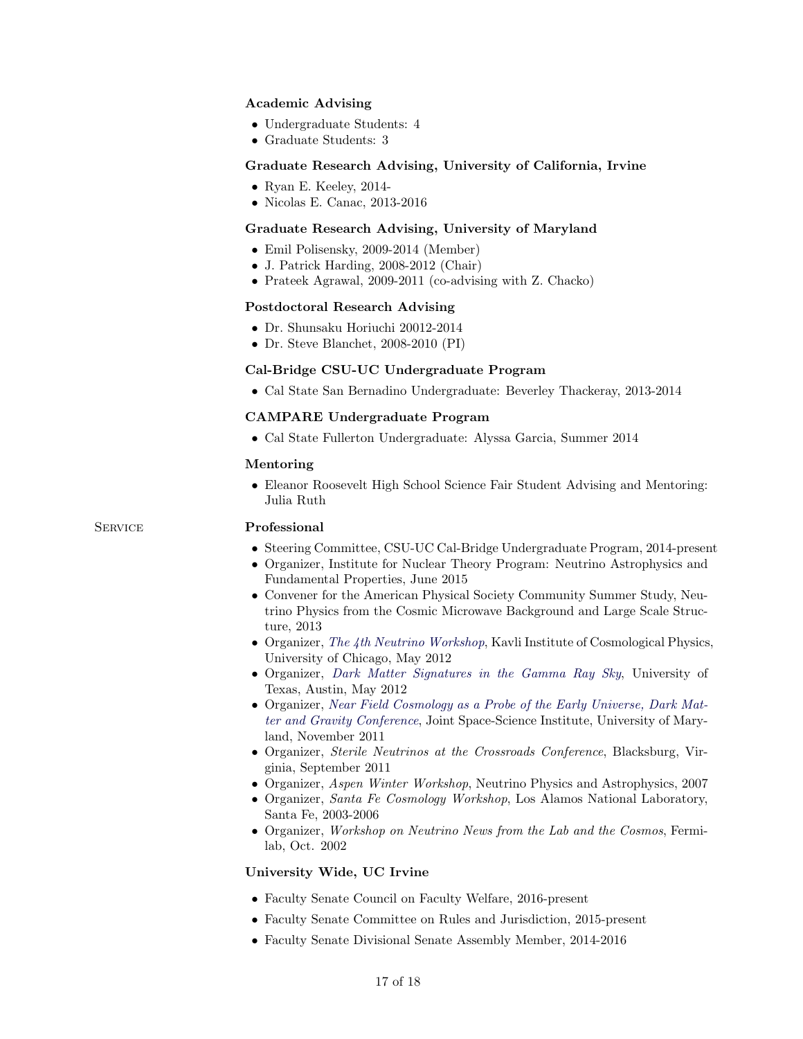## Academic Advising

- Undergraduate Students: 4
- Graduate Students: 3

#### Graduate Research Advising, University of California, Irvine

- Ryan E. Keeley, 2014-
- Nicolas E. Canac, 2013-2016

#### Graduate Research Advising, University of Maryland

- Emil Polisensky, 2009-2014 (Member)
- J. Patrick Harding, 2008-2012 (Chair)
- Prateek Agrawal, 2009-2011 (co-advising with Z. Chacko)

#### Postdoctoral Research Advising

- Dr. Shunsaku Horiuchi 20012-2014
- Dr. Steve Blanchet, 2008-2010 (PI)

#### Cal-Bridge CSU-UC Undergraduate Program

• Cal State San Bernadino Undergraduate: Beverley Thackeray, 2013-2014

#### CAMPARE Undergraduate Program

• Cal State Fullerton Undergraduate: Alyssa Garcia, Summer 2014

#### Mentoring

• Eleanor Roosevelt High School Science Fair Student Advising and Mentoring: Julia Ruth

#### SERVICE Professional

- Steering Committee, CSU-UC Cal-Bridge Undergraduate Program, 2014-present
- Organizer, Institute for Nuclear Theory Program: Neutrino Astrophysics and Fundamental Properties, June 2015
- Convener for the American Physical Society Community Summer Study, Neutrino Physics from the Cosmic Microwave Background and Large Scale Structure, 2013
- Organizer, [The 4th Neutrino Workshop](http://kicp-workshops.uchicago.edu/Neutrino2012/), Kavli Institute of Cosmological Physics, University of Chicago, May 2012
- Organizer, [Dark Matter Signatures in the Gamma Ray Sky](http://www.as.utexas.edu/tcc_gray_wkshp/), University of Texas, Austin, May 2012
- Organizer, [Near Field Cosmology as a Probe of the Early Universe, Dark Mat](http://www.cpe.vt.edu/snac/)[ter and Gravity Conference](http://www.cpe.vt.edu/snac/), Joint Space-Science Institute, University of Maryland, November 2011
- Organizer, *Sterile Neutrinos at the Crossroads Conference*, Blacksburg, Virginia, September 2011
- Organizer, Aspen Winter Workshop, Neutrino Physics and Astrophysics, 2007
- Organizer, Santa Fe Cosmology Workshop, Los Alamos National Laboratory, Santa Fe, 2003-2006
- Organizer, Workshop on Neutrino News from the Lab and the Cosmos, Fermilab, Oct. 2002

#### University Wide, UC Irvine

- Faculty Senate Council on Faculty Welfare, 2016-present
- Faculty Senate Committee on Rules and Jurisdiction, 2015-present
- Faculty Senate Divisional Senate Assembly Member, 2014-2016